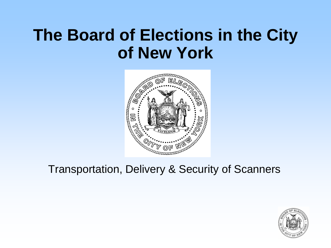# **The Board of Elections in the City of New York**



# Transportation, Delivery & Security of Scanners

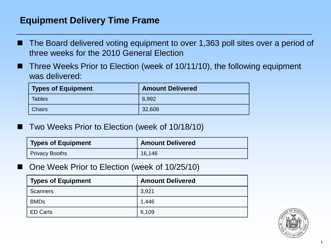# **Equipment Delivery Time Frame**

- The Board delivered voting equipment to over 1,363 poll sites over a period of three weeks for the 2010 General Election
- Three Weeks Prior to Election (week of 10/11/10), the following equipment was delivered:

| <b>Types of Equipment</b> | <b>Amount Delivered</b> |
|---------------------------|-------------------------|
| <b>Tables</b>             | 6,992                   |
| <b>Chairs</b>             | 32,608                  |

Two Weeks Prior to Election (week of 10/18/10)

| <b>Types of Equipment</b> | <b>Amount Delivered</b> |
|---------------------------|-------------------------|
| <b>Privacy Booths</b>     | 16,146                  |

One Week Prior to Election (week of 10/25/10)

| <b>Types of Equipment</b> | <b>Amount Delivered</b> |
|---------------------------|-------------------------|
| <b>Scanners</b>           | 3,921                   |
| <b>BMDs</b>               | 1,446                   |
| <b>ED Carts</b>           | 6,109                   |

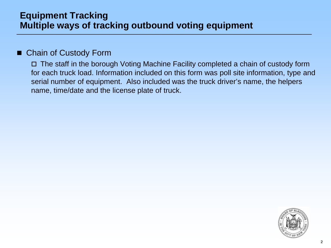## **Equipment Tracking Multiple ways of tracking outbound voting equipment**

#### Chain of Custody Form

 The staff in the borough Voting Machine Facility completed a chain of custody form for each truck load. Information included on this form was poll site information, type and serial number of equipment. Also included was the truck driver's name, the helpers name, time/date and the license plate of truck.

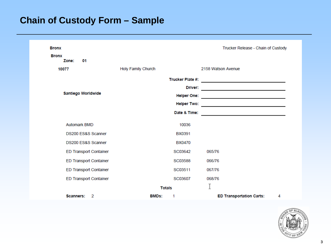# **Chain of Custody Form – Sample**

| <b>Bronx</b>                  |                           | Trucker Release - Chain of Custody                                                                                    |
|-------------------------------|---------------------------|-----------------------------------------------------------------------------------------------------------------------|
| <b>Bronx</b><br>Zone:<br>01   |                           |                                                                                                                       |
| 10077                         | <b>Holy Family Church</b> | 2158 Watson Avenue                                                                                                    |
|                               |                           |                                                                                                                       |
| Santiego Worldwide            |                           |                                                                                                                       |
|                               |                           |                                                                                                                       |
|                               | <b>Helper Two:</b>        |                                                                                                                       |
|                               | Date & Time:              | <u> 1989 - Johann Harry Barn, mars ar breist ar breist ar breist ar breist ar breist ar breist ar breist ar breis</u> |
| <b>Automark BMD</b>           | 10036                     |                                                                                                                       |
| DS200 ES&S Scanner            | <b>BX0391</b>             |                                                                                                                       |
| DS200 ES&S Scanner            | <b>BX0470</b>             |                                                                                                                       |
| <b>ED Transport Container</b> | SC03642                   | 065/76                                                                                                                |
| <b>ED Transport Container</b> | SC03588                   | 066/76                                                                                                                |
| <b>ED Transport Container</b> | SC03511                   | 067/76                                                                                                                |
| <b>ED Transport Container</b> | SC03607                   | 068/76                                                                                                                |
|                               | <b>Totals</b>             |                                                                                                                       |
| 2<br><b>Scanners:</b>         | <b>BMDs:</b><br>1         | <b>ED Transportation Carts:</b><br>4                                                                                  |

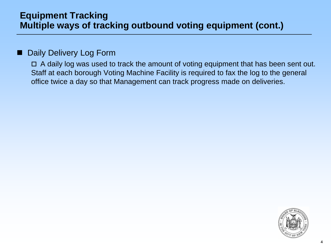## **Equipment Tracking Multiple ways of tracking outbound voting equipment (cont.)**

#### Daily Delivery Log Form

 $\Box$  A daily log was used to track the amount of voting equipment that has been sent out. Staff at each borough Voting Machine Facility is required to fax the log to the general office twice a day so that Management can track progress made on deliveries.

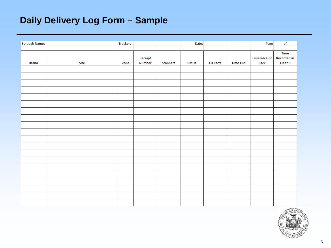# **Daily Delivery Log Form – Sample**

| <b>Borough Name:</b> |      | Trucker: |                          |          | Date:       |                 |                 | Page                               | $\mathsf{of}$                         |
|----------------------|------|----------|--------------------------|----------|-------------|-----------------|-----------------|------------------------------------|---------------------------------------|
|                      |      |          |                          |          |             |                 |                 |                                    |                                       |
|                      |      |          |                          |          |             |                 |                 |                                    | Time                                  |
| Hasno                | Site | Zone     | Receipt<br><b>Number</b> | Scanners | <b>BMDs</b> | <b>ED Carts</b> | <b>Time Out</b> | <b>Time Receipt</b><br><b>Back</b> | <b>Recorded in</b><br><b>Fleet II</b> |
|                      |      |          |                          |          |             |                 |                 |                                    |                                       |
|                      |      |          |                          |          |             |                 |                 |                                    |                                       |
|                      |      |          |                          |          |             |                 |                 |                                    |                                       |
|                      |      |          |                          |          |             |                 |                 |                                    |                                       |
|                      |      |          |                          |          |             |                 |                 |                                    |                                       |
|                      |      |          |                          |          |             |                 |                 |                                    |                                       |
|                      |      |          |                          |          |             |                 |                 |                                    |                                       |
|                      |      |          |                          |          |             |                 |                 |                                    |                                       |
|                      |      |          |                          |          |             |                 |                 |                                    |                                       |
|                      |      |          |                          |          |             |                 |                 |                                    |                                       |
|                      |      |          |                          |          |             |                 |                 |                                    |                                       |
|                      |      |          |                          |          |             |                 |                 |                                    |                                       |
|                      |      |          |                          |          |             |                 |                 |                                    |                                       |
|                      |      |          |                          |          |             |                 |                 |                                    |                                       |
|                      |      |          |                          |          |             |                 |                 |                                    |                                       |
|                      |      |          |                          |          |             |                 |                 |                                    |                                       |
|                      |      |          |                          |          |             |                 |                 |                                    |                                       |
|                      |      |          |                          |          |             |                 |                 |                                    |                                       |
|                      |      |          |                          |          |             |                 |                 |                                    |                                       |
|                      |      |          |                          |          |             |                 |                 |                                    |                                       |
|                      |      |          |                          |          |             |                 |                 |                                    |                                       |
|                      |      |          |                          |          |             |                 |                 |                                    |                                       |
|                      |      |          |                          |          |             |                 |                 |                                    |                                       |

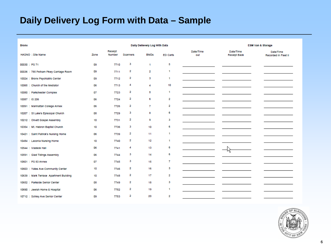# **Daily Delivery Log Form with Data – Sample**

| <b>Bronx</b>                            |      |                   |          | Dally Dellevery Log With Data |              |                  |                           | <b>ESM Van &amp; Storage</b>      |
|-----------------------------------------|------|-------------------|----------|-------------------------------|--------------|------------------|---------------------------|-----------------------------------|
| HASNO : Site Name                       | Zone | Receipt<br>Number | Scanners | <b>BMDs</b>                   | ED Carts     | Date/Time<br>out | Date/Time<br>Receipt Back | Date/Time<br>Recorded In Fleet II |
| 00030 : PS 71                           | 09   | 7710              | з        | 1                             | 5            |                  |                           |                                   |
| 00036 : 785 Pelham Pkwy Carriage Room   | 09   | 7711              | 2        | 2                             | 1            |                  |                           |                                   |
| 10024 : Bronx Psychiatric Center        | 09   | 7712              | 2        | 3                             | 1            |                  |                           |                                   |
| 10065 : Church of the Mediator          | 06   | 7713              | 4        | 4                             | 10           |                  |                           |                                   |
| 10080 : Parkchester Complex             | 07   | 7723              | 2        | 5                             | 1            |                  |                           |                                   |
| 10087 : IS 206                          | 06   | 7724              | 2        | 6                             | 2            |                  |                           |                                   |
| 10091 : Manhattan College Annex         | 06   | 7726              | 2        | 7                             | 2            |                  |                           |                                   |
| 10207 : St Luke's Episcopal Church      | 08   | 7729              | з        | 8                             | 6            |                  |                           |                                   |
| 10212 : Olivett Gospel Assembly         | 10   | 7731              | 2        | 9                             | з            |                  |                           |                                   |
| 10354 : Mt. Hebron Baptist Church       | 10   | 7736              | з        | 10                            | 6            |                  |                           |                                   |
| 10421 : Saint Patrick's Nursing Home    | 06   | 7739              | 2        | 11                            | 1            |                  |                           |                                   |
| 10484 : Laconia Nursing Home            | 10   | 7740              | 2        | 12                            | $\mathbf{1}$ |                  |                           |                                   |
| 10544 : Vladeck Hall                    | 06   | 7741              | 4        | 13                            | 6            |                  |                           |                                   |
| 10591 : Glad Tidings Assembly           | 06   | 7744              | з        | 14                            | 6            |                  | ₩                         |                                   |
| 10601 : PS 83 Annex                     | 07   | 7745              | з        | 15                            | 7            |                  |                           |                                   |
| 10603 : Yates Ave Community Center      | 10   | 7746              | 2        | 16                            | 3            |                  |                           |                                   |
| 10639 : Mark Terrace Apartment Building | 10   | 7748              | 2        | 17                            | 2            |                  |                           |                                   |
| 10652 : Parkside Senior Center          | 08   | 7749              | 2        | 18                            | з            |                  |                           |                                   |
| 10690 : Jewish Home & Hospital          | 06   | 7752              | 2        | 19                            | $\mathbf{1}$ |                  |                           |                                   |
| 10712 : Schley Ave Senior Center        | 09   | 7753              | 2        | 20                            | 2            |                  |                           |                                   |

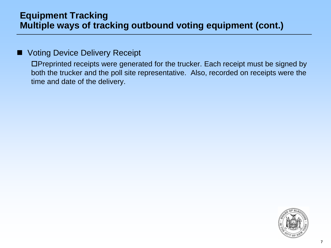## **Equipment Tracking Multiple ways of tracking outbound voting equipment (cont.)**

#### Voting Device Delivery Receipt

Preprinted receipts were generated for the trucker. Each receipt must be signed by both the trucker and the poll site representative. Also, recorded on receipts were the time and date of the delivery.

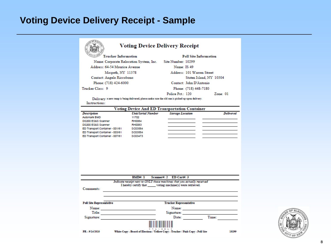# **Voting Device Delivery Receipt - Sample**

#### **Voting Device Delivery Receipt**

| Same of S<br><b>Trucker Information</b> | <b>Poll Site Information</b>   |
|-----------------------------------------|--------------------------------|
| Name: Corporate Relocation System, Inc. | Site Number: 10299             |
| Address: 64-54 Maurice Avenue           | Name: IS 49                    |
| Maspeth, NY 11378                       | Address: 101 Warren Street     |
| Contact: Angelo Riccobono               | Staten Island, NY 10304        |
| Phone: (718) 424-6000                   | Contact: John D'Antonio        |
| Trucker Class: 9                        | Phone: (718) 448-7180          |
|                                         | Police Pct: 120<br>$Z$ one: 01 |

Delivery a new ramp is being delivered, please make sure the old one is picked up upon delivery. Instructions:

| <b>Voting Device And ED Transportation Container</b> |                           |                         |                  |  |  |
|------------------------------------------------------|---------------------------|-------------------------|------------------|--|--|
| <b>Description</b>                                   | <b>Unit/Serial Number</b> | <b>Storage Location</b> | <b>Delivered</b> |  |  |
| Automark BMD                                         | 11702                     |                         |                  |  |  |
| DS200 ES&S Scanner                                   | <b>RH0084</b>             |                         |                  |  |  |
| DS200 ES&S Scanner                                   | <b>RH0083</b>             |                         |                  |  |  |
| ED Transport Container - 001/61                      | SC03584                   |                         |                  |  |  |
| ED Transport Container - 003/61                      | SC03554                   |                         |                  |  |  |
| ED Transport Container - 007/61                      | SC03473                   |                         |                  |  |  |

|                                 | Scanner#: 2 ED Cart#: 3<br>BMD#·1                                                                                                  |       |
|---------------------------------|------------------------------------------------------------------------------------------------------------------------------------|-------|
| Comments:                       | Indicate receipt next to ONLY those machines that you actually received<br>I hereby certify that voting machine(s) were retrieved. |       |
|                                 |                                                                                                                                    |       |
| <b>Poll Site Representative</b> | <b>Trucker Representative</b>                                                                                                      |       |
| Name:                           | Name:                                                                                                                              |       |
| Title:                          | Signature:                                                                                                                         |       |
| Signature:                      | Date:                                                                                                                              | Time: |
|                                 |                                                                                                                                    |       |
| PR - 9/14/2010                  | White Copy - Board of Elections / Yellow Copy - Trucker / Pink Copy - Poll Site                                                    | 10299 |

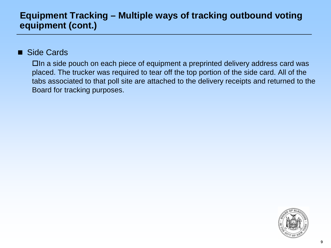# **Equipment Tracking – Multiple ways of tracking outbound voting equipment (cont.)**

#### Side Cards

In a side pouch on each piece of equipment a preprinted delivery address card was placed. The trucker was required to tear off the top portion of the side card. All of the tabs associated to that poll site are attached to the delivery receipts and returned to the Board for tracking purposes.

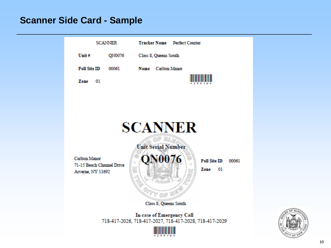### **Scanner Side Card - Sample**



In case of Emergency Call 718-417-2026, 718-417-2027, 718-417-2028, 718-417-2029



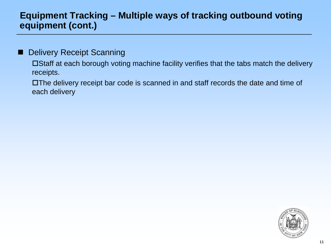# **Equipment Tracking – Multiple ways of tracking outbound voting equipment (cont.)**

#### Delivery Receipt Scanning

Staff at each borough voting machine facility verifies that the tabs match the delivery receipts.

The delivery receipt bar code is scanned in and staff records the date and time of each delivery

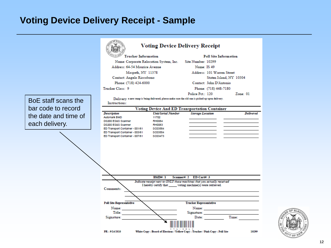## **Voting Device Delivery Receipt - Sample**